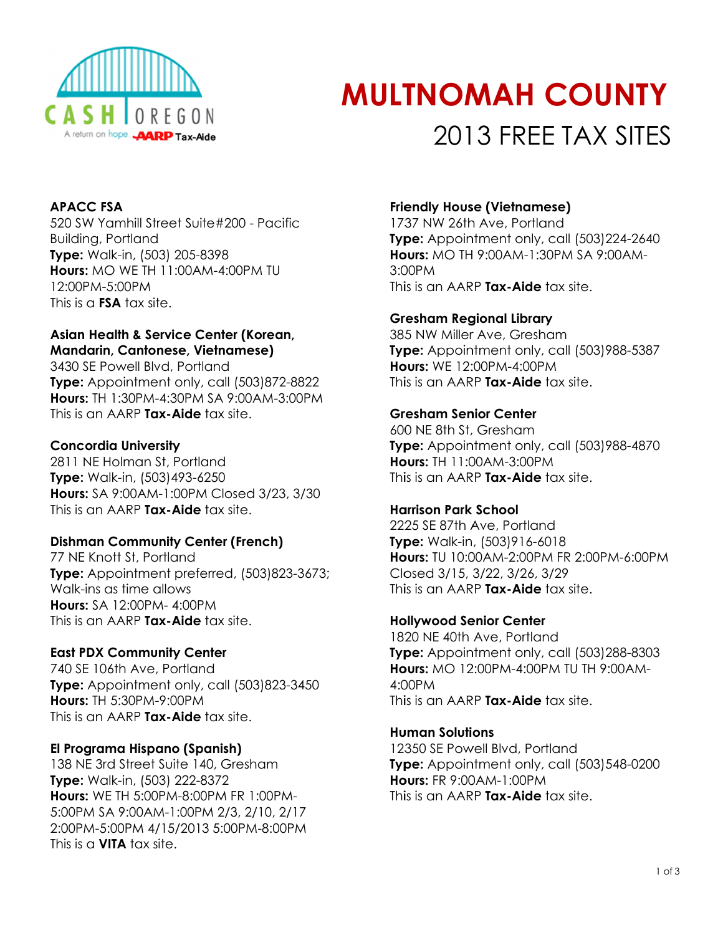

# **MULTNOMAH COUNTY** 2013 FREE TAX SITES

# **APACC FSA**

520 SW Yamhill Street Suite#200 - Pacific **Building, Portland** Type: Walk-in, (503) 205-8398 **Hours: MO WE TH 11:00AM-4:00PM TU** 12:00PM-5:00PM This is a **FSA** tax site.

## Asian Health & Service Center (Korean, **Mandarin, Cantonese, Vietnamese)**

3430 SE Powell Blvd, Portland Type: Appointment only, call (503)872-8822 **Hours: TH 1:30PM-4:30PM SA 9:00AM-3:00PM** This is an AARP Tax-Aide tax site.

## **Concordia University**

2811 NE Holman St, Portland Type: Walk-in, (503)493-6250 Hours: SA 9:00AM-1:00PM Closed 3/23, 3/30 This is an AARP Tax-Aide tax site.

# **Dishman Community Center (French)**

77 NE Knott St, Portland Type: Appointment preferred, (503)823-3673; Walk-ins as time allows Hours: SA 12:00PM- 4:00PM This is an AARP Tax-Aide tax site.

## **East PDX Community Center**

740 SE 106th Ave, Portland Type: Appointment only, call (503)823-3450 Hours: TH 5:30PM-9:00PM This is an AARP Tax-Aide tax site.

## El Programa Hispano (Spanish)

138 NE 3rd Street Suite 140, Gresham Type: Walk-in, (503) 222-8372 Hours: WE TH 5:00PM-8:00PM FR 1:00PM-5:00PM SA 9:00AM-1:00PM 2/3, 2/10, 2/17 2:00PM-5:00PM 4/15/2013 5:00PM-8:00PM This is a **VITA** tax site.

# **Friendly House (Vietnamese)**

1737 NW 26th Ave, Portland Type: Appointment only, call (503)224-2640 **Hours: MO TH 9:00AM-1:30PM SA 9:00AM-** $3.00PM$ This is an AARP Tax-Aide tax site.

## **Gresham Regional Library**

385 NW Miller Ave, Gresham Type: Appointment only, call (503)988-5387 **Hours: WF 12:00PM-4:00PM** This is an AARP Tax-Aide tax site.

## **Gresham Senior Center**

600 NE 8th St, Gresham Type: Appointment only, call (503)988-4870 Hours: TH 11:00AM-3:00PM This is an AARP Tax-Aide tax site.

## **Harrison Park School**

2225 SE 87th Ave, Portland Type: Walk-in, (503)916-6018 Hours: TU 10:00AM-2:00PM FR 2:00PM-6:00PM Closed 3/15, 3/22, 3/26, 3/29 This is an AARP Tax-Aide tax site.

## **Hollywood Senior Center**

1820 NE 40th Ave, Portland Type: Appointment only, call (503)288-8303 Hours: MO 12:00PM-4:00PM TU TH 9:00AM- $4:00PM$ This is an AARP Tax-Aide tax site.

## **Human Solutions**

12350 SE Powell Blvd, Portland Type: Appointment only, call (503)548-0200 **Hours: FR 9:00AM-1:00PM** This is an AARP Tax-Aide tax site.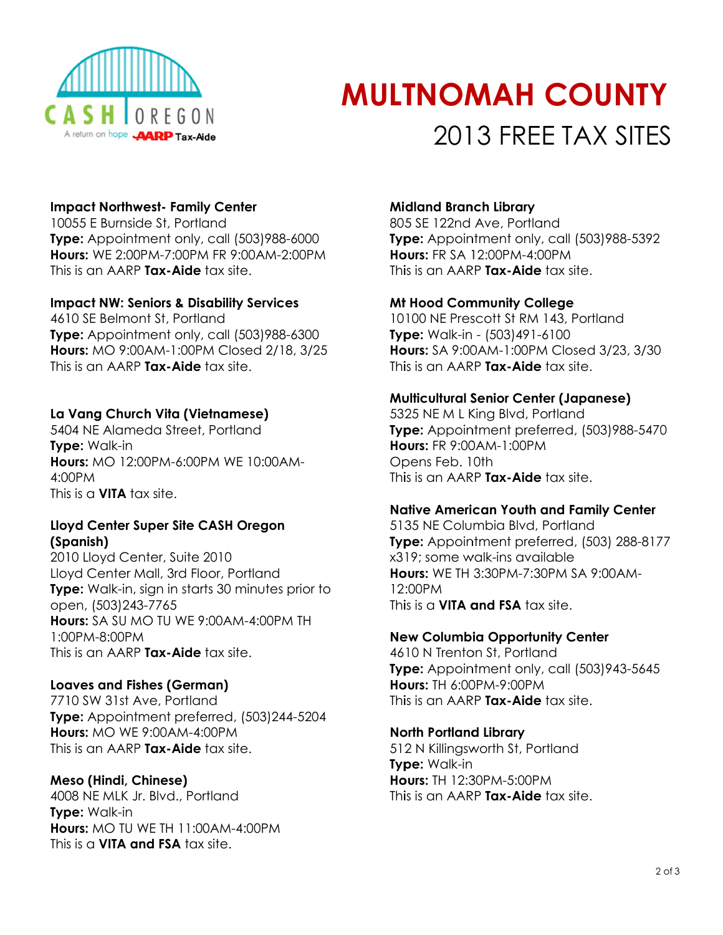

# **MULTNOMAH COUNTY** 2013 FREE TAX SITES

## **Impact Northwest- Family Center**

10055 E Burnside St, Portland Type: Appointment only, call (503)988-6000 **Hours: WE 2:00PM-7:00PM FR 9:00AM-2:00PM** This is an AARP Tax-Aide tax site.

#### **Impact NW: Seniors & Disability Services**

4610 SE Belmont St, Portland Type: Appointment only, call (503)988-6300 Hours: MO 9:00AM-1:00PM Closed 2/18, 3/25 This is an AARP Tax-Aide tax site.

## La Vang Church Vita (Vietnamese)

5404 NE Alameda Street, Portland **Type: Walk-in** Hours: MO 12:00PM-6:00PM WE 10:00AM- $4.00PM$ This is a **VITA** tax site.

## Lloyd Center Super Site CASH Oregon (Spanish)

2010 Lloyd Center, Suite 2010 Lloyd Center Mall, 3rd Floor, Portland Type: Walk-in, sign in starts 30 minutes prior to open, (503)243-7765 **Hours:** SA SU MO TU WE 9:00AM-4:00PM TH 1:00PM-8:00PM This is an AARP Tax-Aide tax site.

## **Loaves and Fishes (German)**

7710 SW 31st Ave, Portland Type: Appointment preferred, (503)244-5204 **Hours: MO WE 9:00AM-4:00PM** This is an AARP Tax-Aide tax site.

## Meso (Hindi, Chinese)

4008 NE MLK Jr. Blvd., Portland **Type: Walk-in** Hours: MO TU WE TH 11:00AM-4:00PM This is  $\alpha$  VITA and FSA tax site.

#### **Midland Branch Library**

805 SE 122nd Ave, Portland Type: Appointment only, call (503)988-5392 **Hours: FR SA 12:00PM-4:00PM** This is an AARP Tax-Aide tax site.

#### **Mt Hood Community College**

10100 NE Prescott St RM 143, Portland Type: Walk-in - (503)491-6100 Hours: SA 9:00AM-1:00PM Closed 3/23, 3/30 This is an AARP Tax-Aide tax site.

#### **Multicultural Senior Center (Japanese)**

5325 NE M L King Blvd, Portland Type: Appointment preferred, (503)988-5470 **Hours: FR 9:00AM-1:00PM** Opens Feb. 10th This is an AARP Tax-Aide tax site.

#### **Native American Youth and Family Center**

5135 NE Columbia Blvd, Portland Type: Appointment preferred, (503) 288-8177 x319; some walk-ins available **Hours: WF TH 3:30PM-7:30PM SA 9:00AM-** $12.00PM$ This is a VITA and FSA tax site.

#### **New Columbia Opportunity Center**

4610 N Trenton St, Portland Type: Appointment only, call (503)943-5645 Hours: TH 6:00PM-9:00PM This is an AARP Tax-Aide tax site.

#### **North Portland Library**

512 N Killingsworth St, Portland Type: Walk-in Hours: TH 12:30PM-5:00PM This is an AARP Tax-Aide tax site.